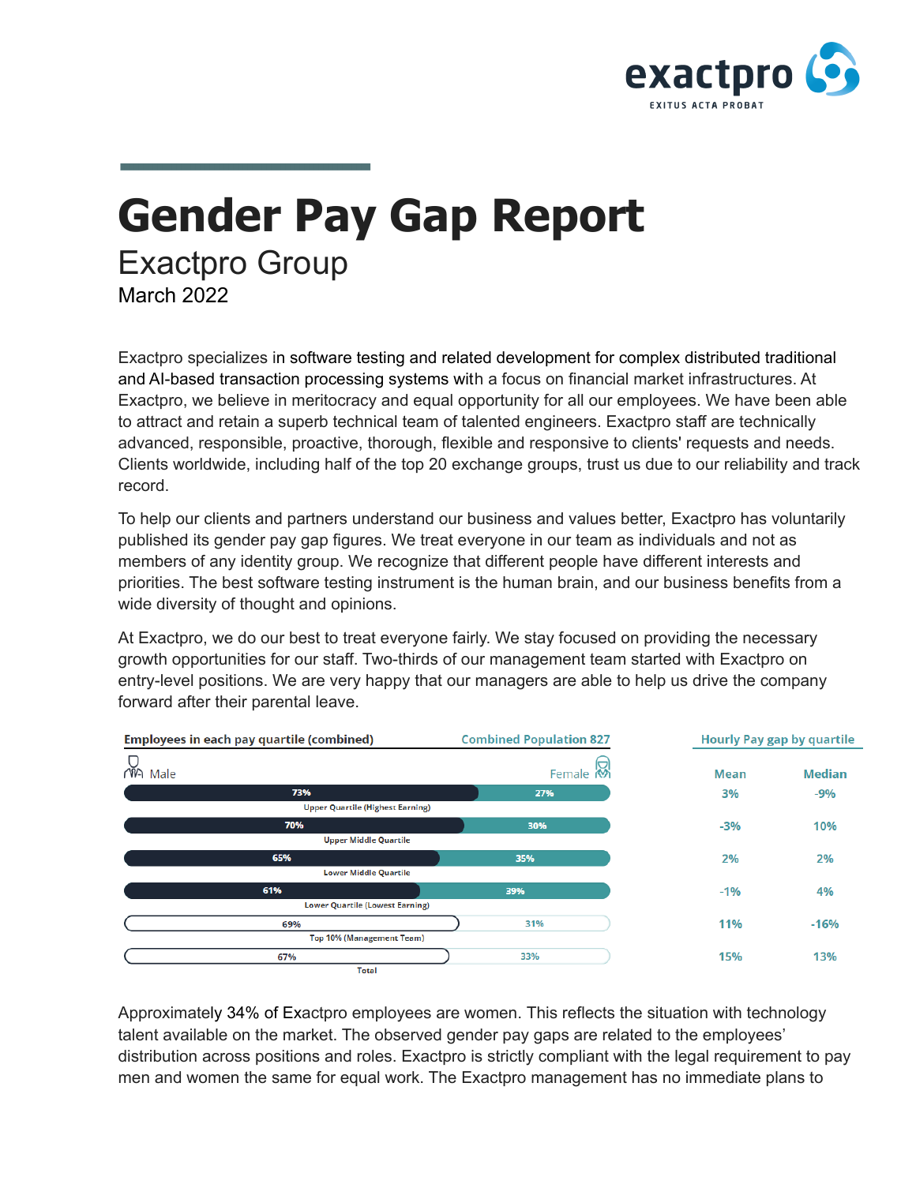

## **Gender Pay Gap Report** Exactpro Group March 2022

Exactpro specializes in software testing and related development for complex distributed traditional and AI-based transaction processing systems with a focus on financial market infrastructures. At Exactpro, we believe in meritocracy and equal opportunity for all our employees. We have been able to attract and retain a superb technical team of talented engineers. Exactpro staff are technically advanced, responsible, proactive, thorough, flexible and responsive to clients' requests and needs. Clients worldwide, including half of the top 20 exchange groups, trust us due to our reliability and track record.

To help our clients and partners understand our business and values better, Exactpro has voluntarily published its gender pay gap figures. We treat everyone in our team as individuals and not as members of any identity group. We recognize that different people have different interests and priorities. The best software testing instrument is the human brain, and our business benefits from a wide diversity of thought and opinions.

At Exactpro, we do our best to treat everyone fairly. We stay focused on providing the necessary growth opportunities for our staff. Two-thirds of our management team started with Exactpro on entry-level positions. We are very happy that our managers are able to help us drive the company forward after their parental leave.



Approximately 34% of Exactpro employees are women. This reflects the situation with technology talent available on the market. The observed gender pay gaps are related to the employees' distribution across positions and roles. Exactpro is strictly compliant with the legal requirement to pay men and women the same for equal work. The Exactpro management has no immediate plans to